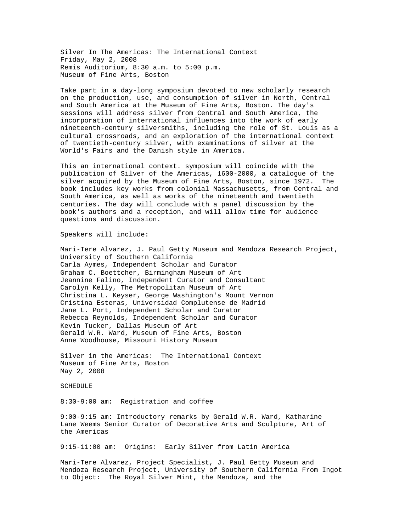Silver In The Americas: The International Context Friday, May 2, 2008 Remis Auditorium, 8:30 a.m. to 5:00 p.m. Museum of Fine Arts, Boston

Take part in a day-long symposium devoted to new scholarly research on the production, use, and consumption of silver in North, Central and South America at the Museum of Fine Arts, Boston. The day's sessions will address silver from Central and South America, the incorporation of international influences into the work of early nineteenth-century silversmiths, including the role of St. Louis as a cultural crossroads, and an exploration of the international context of twentieth-century silver, with examinations of silver at the World's Fairs and the Danish style in America.

This an international context. symposium will coincide with the publication of Silver of the Americas, 1600-2000, a catalogue of the silver acquired by the Museum of Fine Arts, Boston, since 1972. The book includes key works from colonial Massachusetts, from Central and South America, as well as works of the nineteenth and twentieth centuries. The day will conclude with a panel discussion by the book's authors and a reception, and will allow time for audience questions and discussion.

Speakers will include:

Mari-Tere Alvarez, J. Paul Getty Museum and Mendoza Research Project, University of Southern California Carla Aymes, Independent Scholar and Curator Graham C. Boettcher, Birmingham Museum of Art Jeannine Falino, Independent Curator and Consultant Carolyn Kelly, The Metropolitan Museum of Art Christina L. Keyser, George Washington's Mount Vernon Cristina Esteras, Universidad Complutense de Madrid Jane L. Port, Independent Scholar and Curator Rebecca Reynolds, Independent Scholar and Curator Kevin Tucker, Dallas Museum of Art Gerald W.R. Ward, Museum of Fine Arts, Boston Anne Woodhouse, Missouri History Museum

Silver in the Americas: The International Context Museum of Fine Arts, Boston May 2, 2008

SCHEDULE

8:30-9:00 am: Registration and coffee

9:00-9:15 am: Introductory remarks by Gerald W.R. Ward, Katharine Lane Weems Senior Curator of Decorative Arts and Sculpture, Art of the Americas

9:15-11:00 am: Origins: Early Silver from Latin America

Mari-Tere Alvarez, Project Specialist, J. Paul Getty Museum and Mendoza Research Project, University of Southern California From Ingot to Object: The Royal Silver Mint, the Mendoza, and the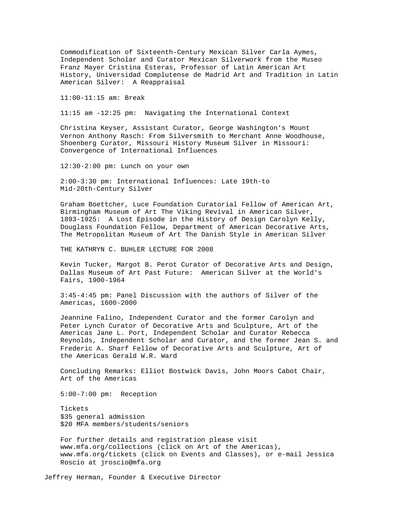Commodification of Sixteenth-Century Mexican Silver Carla Aymes, Independent Scholar and Curator Mexican Silverwork from the Museo Franz Mayer Cristina Esteras, Professor of Latin American Art History, Universidad Complutense de Madrid Art and Tradition in Latin American Silver: A Reappraisal

11:00-11:15 am: Break

11:15 am -12:25 pm: Navigating the International Context

Christina Keyser, Assistant Curator, George Washington's Mount Vernon Anthony Rasch: From Silversmith to Merchant Anne Woodhouse, Shoenberg Curator, Missouri History Museum Silver in Missouri: Convergence of International Influences

12:30-2:00 pm: Lunch on your own

2:00-3:30 pm: International Influences: Late 19th-to Mid-20th-Century Silver

Graham Boettcher, Luce Foundation Curatorial Fellow of American Art, Birmingham Museum of Art The Viking Revival in American Silver, 1893-1925: A Lost Episode in the History of Design Carolyn Kelly, Douglass Foundation Fellow, Department of American Decorative Arts, The Metropolitan Museum of Art The Danish Style in American Silver

THE KATHRYN C. BUHLER LECTURE FOR 2008

Kevin Tucker, Margot B. Perot Curator of Decorative Arts and Design, Dallas Museum of Art Past Future: American Silver at the World's Fairs, 1900-1964

3:45-4:45 pm: Panel Discussion with the authors of Silver of the Americas, 1600-2000

Jeannine Falino, Independent Curator and the former Carolyn and Peter Lynch Curator of Decorative Arts and Sculpture, Art of the Americas Jane L. Port, Independent Scholar and Curator Rebecca Reynolds, Independent Scholar and Curator, and the former Jean S. and Frederic A. Sharf Fellow of Decorative Arts and Sculpture, Art of the Americas Gerald W.R. Ward

Concluding Remarks: Elliot Bostwick Davis, John Moors Cabot Chair, Art of the Americas

5:00-7:00 pm: Reception

Tickets \$35 general admission \$20 MFA members/students/seniors

For further details and registration please visit www.mfa.org/collections (click on Art of the Americas), www.mfa.org/tickets (click on Events and Classes), or e-mail Jessica Roscio at jroscio@mfa.org

Jeffrey Herman, Founder & Executive Director